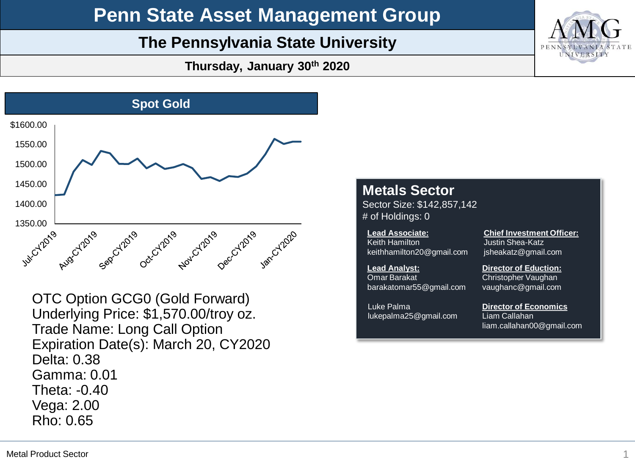## **Penn State Asset Management Group**

### **The Pennsylvania State University**

**Thursday, January 30th 2020**



OTC Option GCG0 (Gold Forward) Underlying Price: \$1,570.00/troy oz. Trade Name: Long Call Option Expiration Date(s): March 20, CY2020 Delta: 0.38 Gamma: 0.01 Theta: -0.40 Vega: 2.00 Rho: 0.65

### **Metals Sector**

Sector Size: \$142,857,142 # of Holdings: 0

Keith Hamilton keith hamilton 20@gmail.com **Lead Associate:**

barakatomar55@gmail.com

lukepalma25@gmail.com

**Lead Analyst:** 

**Omar Barakat** 

Luke Palma

Justin Shea-Katz jsheakatz@gmail.com **Director of Eduction:** 

**Chief Investment Officer:**

**Christopher Vaughan** Christopher Vaughan vaughanc@gmail.com

Liam Callahan<br>... Liam Callahan liam.callahan00@gmail.com **Director of Economics**

liam.callahan00@gmail.com

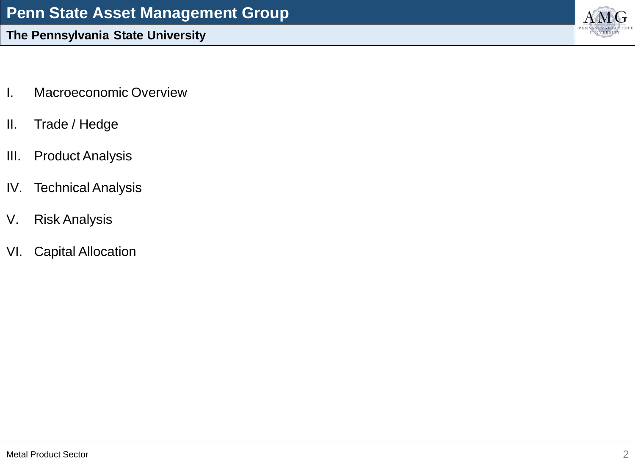- I. Macroeconomic Overview
- II. Trade / Hedge
- III. Product Analysis
- IV. Technical Analysis
- V. Risk Analysis
- VI. Capital Allocation

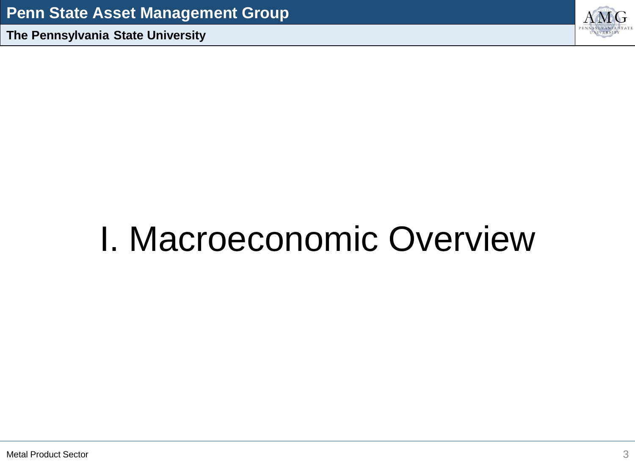

## I. Macroeconomic Overview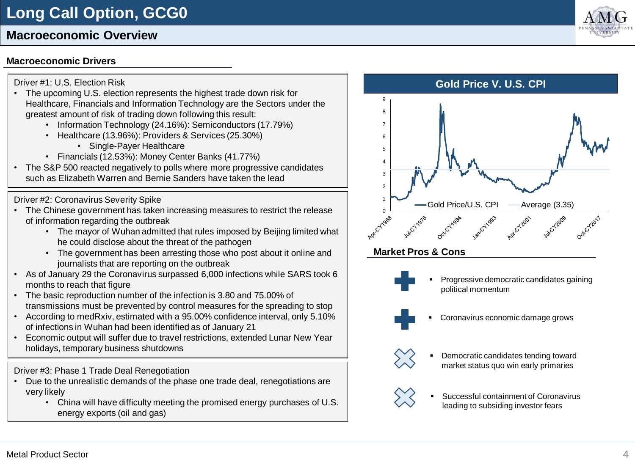### **Macroeconomic Overview**

#### **Macroeconomic Drivers**

#### Driver #1: U.S. Election Risk

- The upcoming U.S. election represents the highest trade down risk for Healthcare, Financials and Information Technology are the Sectors under the greatest amount of risk of trading down following this result:
	- Information Technology (24.16%): Semiconductors (17.79%)
	- Healthcare (13.96%): Providers & Services (25.30%)
		- Single-Payer Healthcare
	- Financials (12.53%): Money Center Banks (41.77%)
- The S&P 500 reacted negatively to polls where more progressive candidates such as Elizabeth Warren and Bernie Sanders have taken the lead

#### Driver #2: Coronavirus Severity Spike

- The Chinese government has taken increasing measures to restrict the release of information regarding the outbreak
	- The mayor of Wuhan admitted that rules imposed by Beijing limited what he could disclose about the threat of the pathogen
	- The government has been arresting those who post about it online and journalists that are reporting on the outbreak
- As of January 29 the Coronavirus surpassed 6,000 infections while SARS took 6 months to reach that figure
- The basic reproduction number of the infection is 3.80 and 75.00% of transmissions must be prevented by control measures for the spreading to stop
- According to medRxiv, estimated with a 95.00% confidence interval, only 5.10% of infections in Wuhan had been identified as of January 21
- Economic output will suffer due to travel restrictions, extended Lunar New Year holidays, temporary business shutdowns

#### Driver #3: Phase 1 Trade Deal Renegotiation

- Due to the unrealistic demands of the phase one trade deal, renegotiations are very likely
	- China will have difficulty meeting the promised energy purchases of U.S. energy exports (oil and gas)



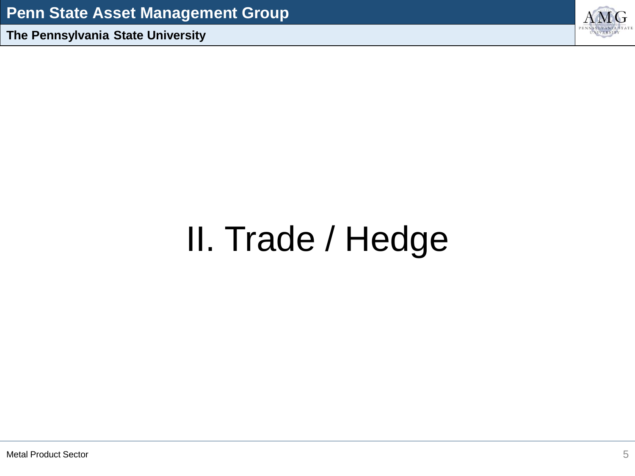

# II. Trade / Hedge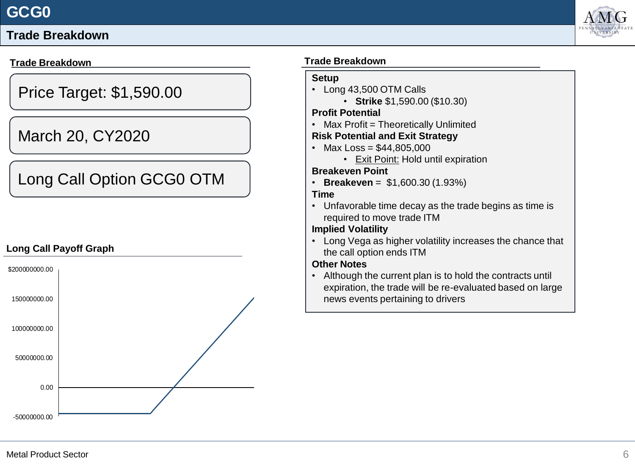#### **Trade Breakdown**

#### **Trade Breakdown**

Price Target: \$1,590.00

## March 20, CY2020

## Long Call Option GCG0 OTM

#### **Long Call Payoff Graph**



#### **Trade Breakdown**

#### **Setup**

- Long 43,500 OTM Calls
	- **Strike** \$1,590.00 (\$10.30)

#### **Profit Potential**

• Max Profit = Theoretically Unlimited

#### **Risk Potential and Exit Strategy**

- Max Loss =  $$44,805,000$ 
	- Exit Point: Hold until expiration

#### **Breakeven Point**

• **Breakeven** = \$1,600.30 (1.93%)

#### **Time**

• Unfavorable time decay as the trade begins as time is required to move trade ITM

#### **Implied Volatility**

• Long Vega as higher volatility increases the chance that the call option ends ITM

#### **Other Notes**

• Although the current plan is to hold the contracts until expiration, the trade will be re-evaluated based on large news events pertaining to drivers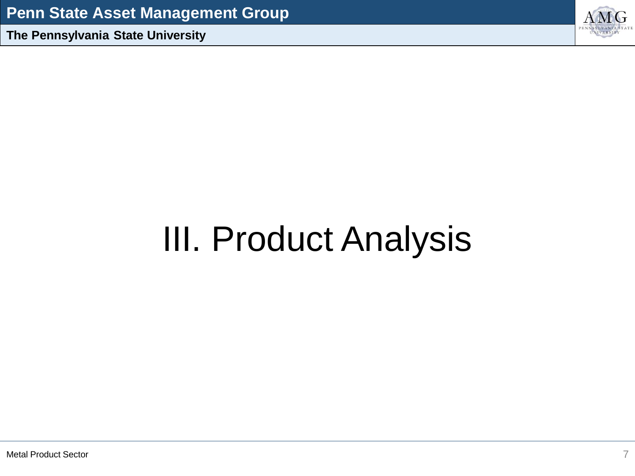

## III. Product Analysis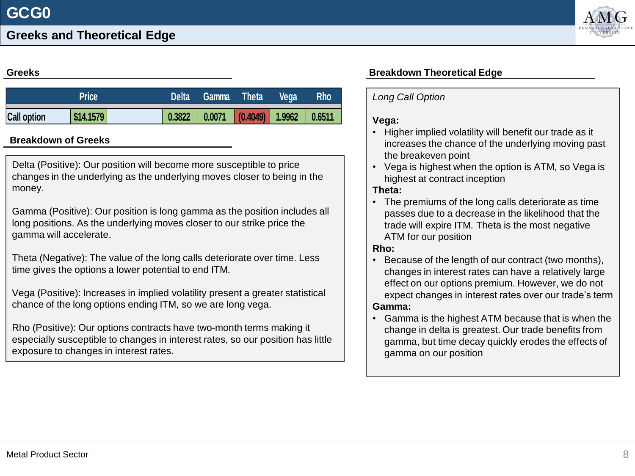

#### **Greeks**

|                    | <b>Delta</b> |        | <b>Gamma</b> Theta                    | <b>Vega</b> | <b>Rho</b> |  |
|--------------------|--------------|--------|---------------------------------------|-------------|------------|--|
| <b>Call option</b> | \$14.1579    | 0.3822 | $\vert$ 0.0071 (0.4049) 1.9962 0.6511 |             |            |  |

#### **Breakdown of Greeks**

Delta (Positive): Our position will become more susceptible to price changes in the underlying as the underlying moves closer to being in the money.

Gamma (Positive): Our position is long gamma as the position includes all long positions. As the underlying moves closer to our strike price the gamma will accelerate.

Theta (Negative): The value of the long calls deteriorate over time. Less time gives the options a lower potential to end ITM.

Vega (Positive): Increases in implied volatility present a greater statistical chance of the long options ending ITM, so we are long vega.

Rho (Positive): Our options contracts have two-month terms making it especially susceptible to changes in interest rates, so our position has little exposure to changes in interest rates.

#### **Breakdown Theoretical Edge**

#### *Long Call Option*

#### **Vega:**

- Higher implied volatility will benefit our trade as it increases the chance of the underlying moving past the breakeven point
- Vega is highest when the option is ATM, so Vega is highest at contract inception

#### **Theta:**

• The premiums of the long calls deteriorate as time passes due to a decrease in the likelihood that the trade will expire ITM. Theta is the most negative ATM for our position

#### **Rho:**

• Because of the length of our contract (two months), changes in interest rates can have a relatively large effect on our options premium. However, we do not expect changes in interest rates over our trade's term

#### **Gamma:**

• Gamma is the highest ATM because that is when the change in delta is greatest. Our trade benefits from gamma, but time decay quickly erodes the effects of gamma on our position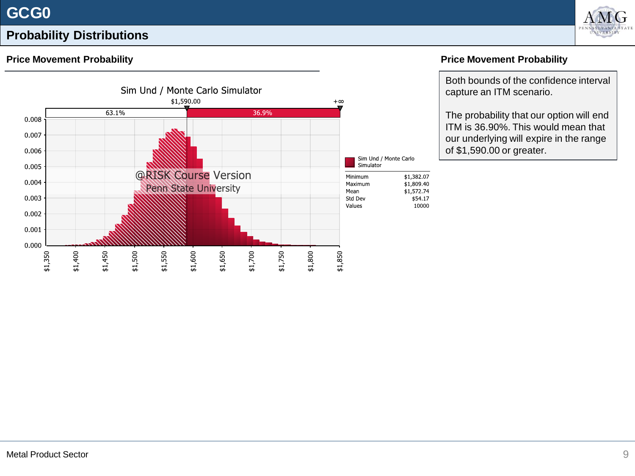### **Probability Distributions**



#### **Price Movement Probability**



#### **Price Movement Probability**

Both bounds of the confidence interval capture an ITM scenario.

The probability that our option will end ITM is 36.90%. This would mean that our underlying will expire in the range of \$1,590.00 or greater.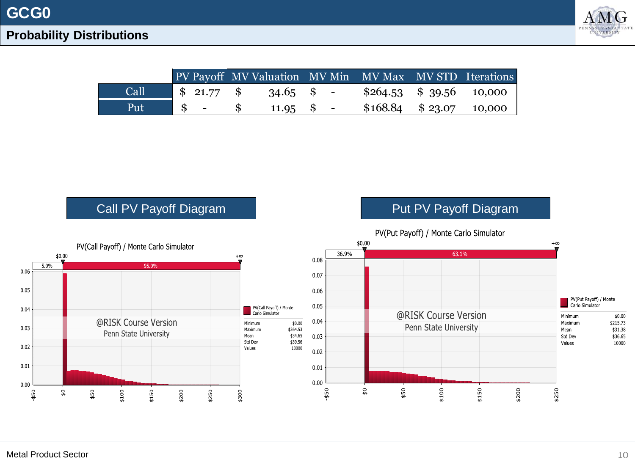

|      |                |                                   |  | PV Payoff MV Valuation MV Min MV Max MV STD Iterations |  |
|------|----------------|-----------------------------------|--|--------------------------------------------------------|--|
| Call |                | $\frac{1}{2}$ 21.77 \$ 34.65 \$ - |  | $$264.53 \quad $39.56 \quad 10,000$                    |  |
| Put  | $\mathbb{S}$ - | $11.95 \quad$ \$ -                |  | $$168.84 \quad $23.07 \quad 10,000$                    |  |



Metal Product Sector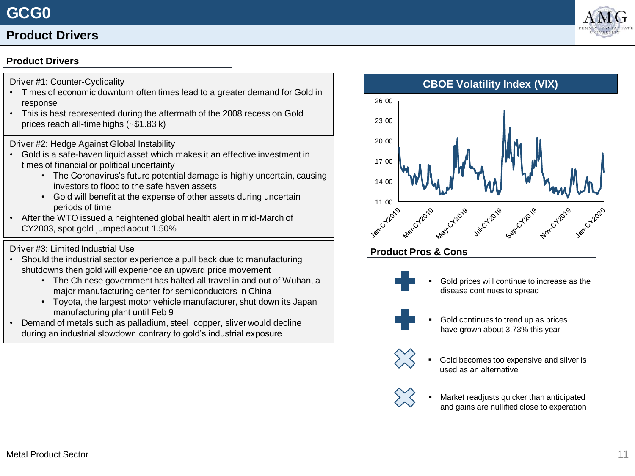#### **Product Drivers**

#### **Product Drivers**

Driver #1: Counter-Cyclicality

- Times of economic downturn often times lead to a greater demand for Gold in response
- This is best represented during the aftermath of the 2008 recession Gold prices reach all-time highs (~\$1.83 k)

Driver #2: Hedge Against Global Instability

- Gold is a safe-haven liquid asset which makes it an effective investment in times of financial or political uncertainty
	- The Coronavirus's future potential damage is highly uncertain, causing investors to flood to the safe haven assets
	- Gold will benefit at the expense of other assets during uncertain periods of time
- After the WTO issued a heightened global health alert in mid-March of CY2003, spot gold jumped about 1.50%

#### Driver #3: Limited Industrial Use

- Should the industrial sector experience a pull back due to manufacturing shutdowns then gold will experience an upward price movement
	- The Chinese government has halted all travel in and out of Wuhan, a major manufacturing center for semiconductors in China
	- Toyota, the largest motor vehicle manufacturer, shut down its Japan manufacturing plant until Feb 9
- Demand of metals such as palladium, steel, copper, sliver would decline during an industrial slowdown contrary to gold's industrial exposure



#### **Product Pros & Cons**



Gold prices will continue to increase as the disease continues to spread



Gold continues to trend up as prices have grown about 3.73% this year



Gold becomes too expensive and silver is used as an alternative



Market readjusts quicker than anticipated and gains are nullified close to experation

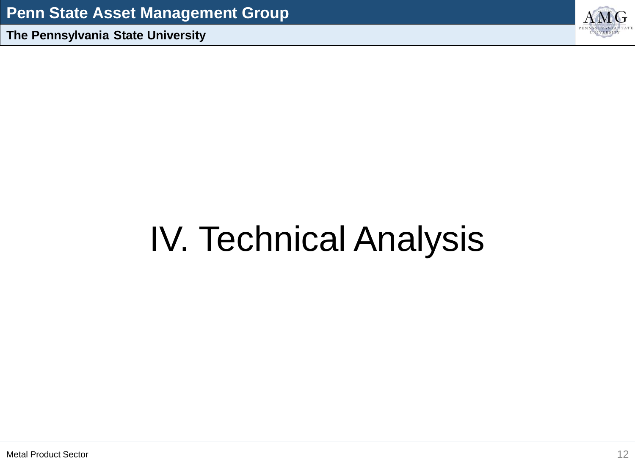

## IV. Technical Analysis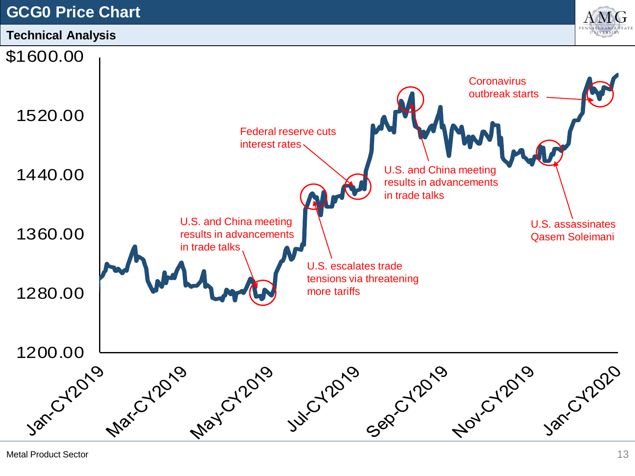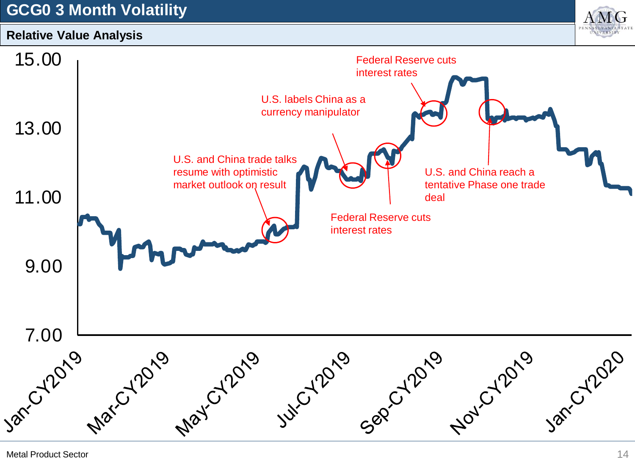## **GCG0 3 Month Volatility**



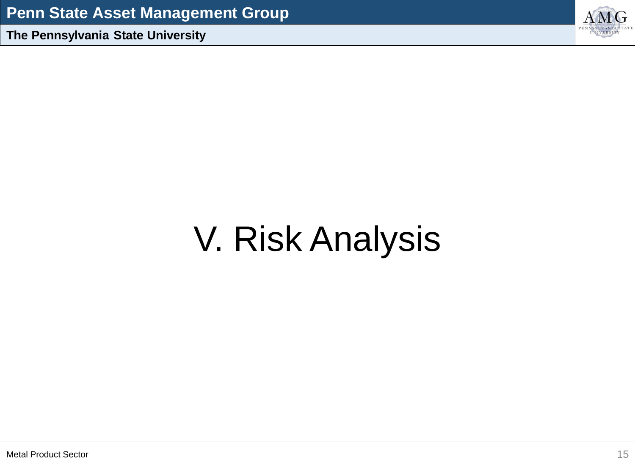

## V. Risk Analysis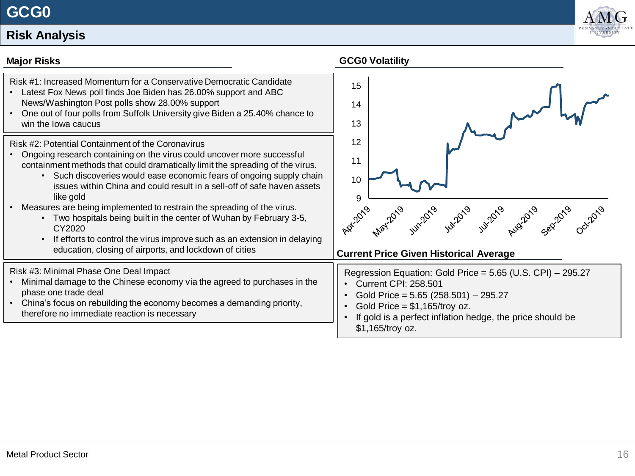## **Risk Analysis**



| <b>Major Risks</b>                                                                                                                                                                                                                                                                                                                                                                                                                                                                                                                                                                                                                                                            | <b>GCG0 Volatility</b>                                                                                                                                                                                                                                               |
|-------------------------------------------------------------------------------------------------------------------------------------------------------------------------------------------------------------------------------------------------------------------------------------------------------------------------------------------------------------------------------------------------------------------------------------------------------------------------------------------------------------------------------------------------------------------------------------------------------------------------------------------------------------------------------|----------------------------------------------------------------------------------------------------------------------------------------------------------------------------------------------------------------------------------------------------------------------|
| Risk #1: Increased Momentum for a Conservative Democratic Candidate<br>Latest Fox News poll finds Joe Biden has 26.00% support and ABC<br>News/Washington Post polls show 28.00% support<br>One out of four polls from Suffolk University give Biden a 25.40% chance to<br>win the lowa caucus                                                                                                                                                                                                                                                                                                                                                                                | 15<br>14<br>13                                                                                                                                                                                                                                                       |
| Risk #2: Potential Containment of the Coronavirus<br>Ongoing research containing on the virus could uncover more successful<br>containment methods that could dramatically limit the spreading of the virus.<br>• Such discoveries would ease economic fears of ongoing supply chain<br>issues within China and could result in a sell-off of safe haven assets<br>like gold<br>Measures are being implemented to restrain the spreading of the virus.<br>• Two hospitals being built in the center of Wuhan by February 3-5,<br>CY2020<br>If efforts to control the virus improve such as an extension in delaying<br>education, closing of airports, and lockdown of cities | 12<br>11<br>10<br>9<br>3. 11:20, 12:20, 12:20, 12:20, 12:20<br><b>Current Price Given Historical Average</b>                                                                                                                                                         |
| Risk #3: Minimal Phase One Deal Impact<br>Minimal damage to the Chinese economy via the agreed to purchases in the<br>phase one trade deal<br>China's focus on rebuilding the economy becomes a demanding priority,<br>therefore no immediate reaction is necessary                                                                                                                                                                                                                                                                                                                                                                                                           | Regression Equation: Gold Price = 5.65 (U.S. CPI) - 295.27<br><b>Current CPI: 258.501</b><br>Gold Price = $5.65$ (258.501) - 295.27<br>Gold Price = $$1,165/$ troy oz.<br>$\bullet$<br>If gold is a perfect inflation hedge, the price should be<br>\$1,165/troy oz. |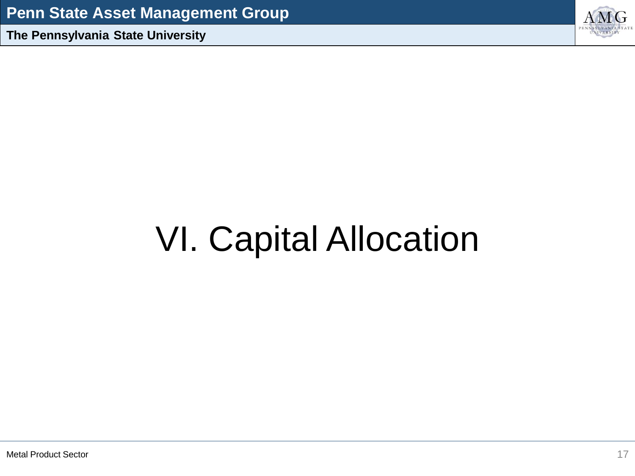

## VI. Capital Allocation